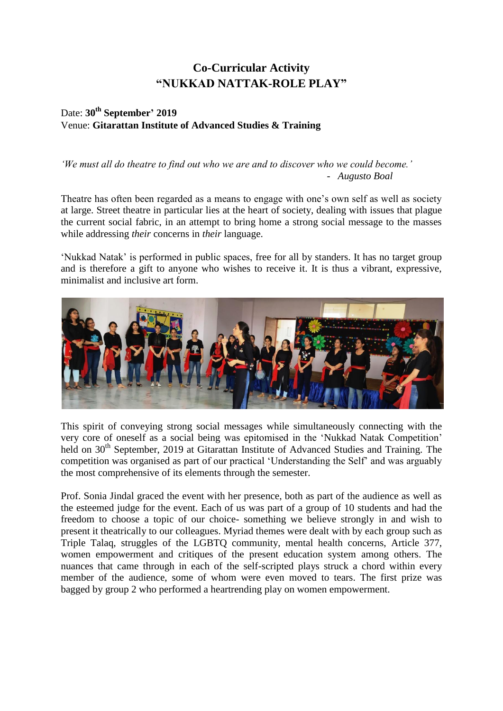## **Co-Curricular Activity "NUKKAD NATTAK-ROLE PLAY"**

## Date: **30th September' 2019** Venue: **Gitarattan Institute of Advanced Studies & Training**

## *'We must all do theatre to find out who we are and to discover who we could become.' - Augusto Boal*

Theatre has often been regarded as a means to engage with one's own self as well as society at large. Street theatre in particular lies at the heart of society, dealing with issues that plague the current social fabric, in an attempt to bring home a strong social message to the masses while addressing *their* concerns in *their* language.

'Nukkad Natak' is performed in public spaces, free for all by standers. It has no target group and is therefore a gift to anyone who wishes to receive it. It is thus a vibrant, expressive, minimalist and inclusive art form.



This spirit of conveying strong social messages while simultaneously connecting with the very core of oneself as a social being was epitomised in the 'Nukkad Natak Competition' held on 30<sup>th</sup> September, 2019 at Gitarattan Institute of Advanced Studies and Training. The competition was organised as part of our practical 'Understanding the Self' and was arguably the most comprehensive of its elements through the semester.

Prof. Sonia Jindal graced the event with her presence, both as part of the audience as well as the esteemed judge for the event. Each of us was part of a group of 10 students and had the freedom to choose a topic of our choice- something we believe strongly in and wish to present it theatrically to our colleagues. Myriad themes were dealt with by each group such as Triple Talaq, struggles of the LGBTQ community, mental health concerns, Article 377, women empowerment and critiques of the present education system among others. The nuances that came through in each of the self-scripted plays struck a chord within every member of the audience, some of whom were even moved to tears. The first prize was bagged by group 2 who performed a heartrending play on women empowerment.